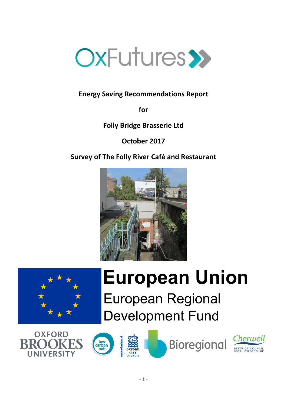

# **Energy Saving Recommendations Report**

**for**

**Folly Bridge Brasserie Ltd**

**October 2017**

**Survey of The Folly River Café and Restaurant**





# **European Union European Regional Development Fund**





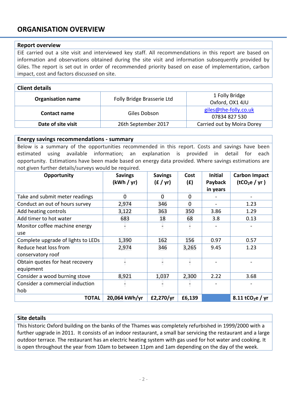# **ORGANISATION OVERVIEW**

#### **Report overview**

EiE carried out a site visit and interviewed key staff. All recommendations in this report are based on information and observations obtained during the site visit and information subsequently provided by Giles. The report is set out in order of recommended priority based on ease of implementation, carbon impact, cost and factors discussed on site.

#### **Client details**

| Folly Bridge Brasserie Ltd | 1 Folly Bridge<br>Oxford, OX1 4JU      |  |  |
|----------------------------|----------------------------------------|--|--|
| Giles Dobson               | giles@the-folly.co.uk<br>07834 827 530 |  |  |
| 26th September 2017        | Carried out by Moira Dorey             |  |  |
|                            |                                        |  |  |

#### **Energy savings recommendations - summary**

Below is a summary of the opportunities recommended in this report. Costs and savings have been estimated using available information; an explanation is provided in detail for each opportunity. Estimations have been made based on energy data provided. Where savings estimations are not given further details/surveys would be required.

| Opportunity                        | <b>Savings</b><br>(kWh / yr) | <b>Savings</b><br>(E / yr) | Cost<br>(E) | <b>Initial</b><br>Payback<br>in years | <b>Carbon Impact</b><br>(tCO <sub>2</sub> e / yr) |
|------------------------------------|------------------------------|----------------------------|-------------|---------------------------------------|---------------------------------------------------|
| Take and submit meter readings     | $\Omega$                     | $\Omega$                   | $\mathbf 0$ |                                       |                                                   |
| Conduct an out of hours survey     | 2,974                        | 346                        | $\Omega$    |                                       | 1.23                                              |
| Add heating controls               | 3,122                        | 363                        | 350         | 3.86                                  | 1.29                                              |
| Add timer to hot water             | 683                          | 18                         | 68          | 3.8                                   | 0.13                                              |
| Monitor coffee machine energy      |                              |                            |             |                                       |                                                   |
| use.                               |                              |                            |             |                                       |                                                   |
| Complete upgrade of lights to LEDs | 1,390                        | 162                        | 156         | 0.97                                  | 0.57                                              |
| Reduce heat loss from              | 2,974                        | 346                        | 3,265       | 9.45                                  | 1.23                                              |
| conservatory roof                  |                              |                            |             |                                       |                                                   |
| Obtain quotes for heat recovery    |                              |                            |             |                                       |                                                   |
| equipment                          |                              |                            |             |                                       |                                                   |
| Consider a wood burning stove      | 8,921                        | 1,037                      | 2,300       | 2.22                                  | 3.68                                              |
| Consider a commercial induction    |                              |                            |             |                                       |                                                   |
| hob                                |                              |                            |             |                                       |                                                   |
| <b>TOTAL</b>                       | 20,064 kWh/yr                | £2,270/yr                  | £6,139      |                                       | 8.11 tCO <sub>2</sub> e / yr                      |

# **Site details**

This historic Oxford building on the banks of the Thames was completely refurbished in 1999/2000 with a further upgrade in 2011. It consists of an indoor restaurant, a small bar servicing the restaurant and a large outdoor terrace. The restaurant has an electric heating system with gas used for hot water and cooking. It is open throughout the year from 10am to between 11pm and 1am depending on the day of the week.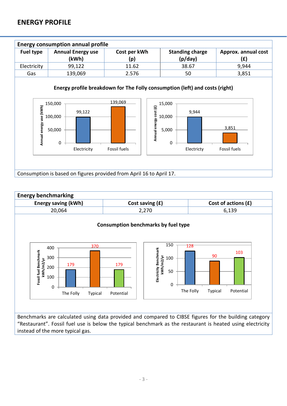# **ENERGY PROFILE**





Benchmarks are calculated using data provided and compared to CIBSE figures for the building category "Restaurant". Fossil fuel use is below the typical benchmark as the restaurant is heated using electricity instead of the more typical gas.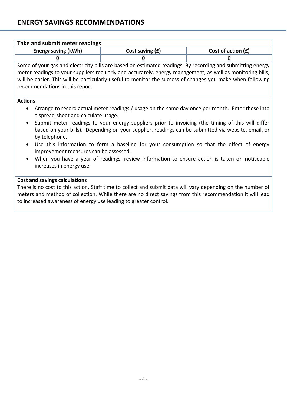'n

| Take and submit meter readings                                                                                                                                                                                                                                                                                                                                            |                                                                                                                                                                                                                                                                                                                                                                                                                                                                                                          |                      |  |
|---------------------------------------------------------------------------------------------------------------------------------------------------------------------------------------------------------------------------------------------------------------------------------------------------------------------------------------------------------------------------|----------------------------------------------------------------------------------------------------------------------------------------------------------------------------------------------------------------------------------------------------------------------------------------------------------------------------------------------------------------------------------------------------------------------------------------------------------------------------------------------------------|----------------------|--|
| <b>Energy saving (kWh)</b>                                                                                                                                                                                                                                                                                                                                                | Cost saving $(f)$                                                                                                                                                                                                                                                                                                                                                                                                                                                                                        | Cost of action $(f)$ |  |
| 0                                                                                                                                                                                                                                                                                                                                                                         |                                                                                                                                                                                                                                                                                                                                                                                                                                                                                                          |                      |  |
| Some of your gas and electricity bills are based on estimated readings. By recording and submitting energy<br>meter readings to your suppliers regularly and accurately, energy management, as well as monitoring bills,<br>will be easier. This will be particularly useful to monitor the success of changes you make when following<br>recommendations in this report. |                                                                                                                                                                                                                                                                                                                                                                                                                                                                                                          |                      |  |
| <b>Actions</b><br>a spread-sheet and calculate usage.<br>$\bullet$<br>by telephone.<br>improvement measures can be assessed.<br>increases in energy use.                                                                                                                                                                                                                  | Arrange to record actual meter readings / usage on the same day once per month. Enter these into<br>Submit meter readings to your energy suppliers prior to invoicing (the timing of this will differ<br>based on your bills). Depending on your supplier, readings can be submitted via website, email, or<br>Use this information to form a baseline for your consumption so that the effect of energy<br>When you have a year of readings, review information to ensure action is taken on noticeable |                      |  |
| <b>Cost and savings calculations</b>                                                                                                                                                                                                                                                                                                                                      | There is no cost to this action. Staff time to collect and submit data will vary depending on the number of                                                                                                                                                                                                                                                                                                                                                                                              |                      |  |
|                                                                                                                                                                                                                                                                                                                                                                           |                                                                                                                                                                                                                                                                                                                                                                                                                                                                                                          |                      |  |

meters and method of collection. While there are no direct savings from this recommendation it will lead to increased awareness of energy use leading to greater control.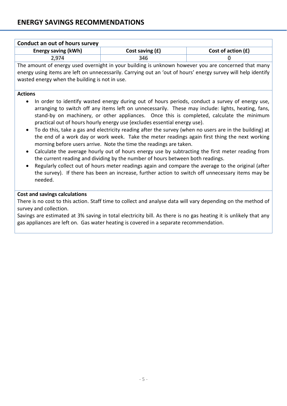| <b>Conduct an out of hours survey</b>                                         |                                                                                                                                                                                                                                                                                                                                                                                                                                                                                                                                                                                                                                                                                                                                                                                                                                                                                                                                                                                                                                                                    |                    |  |  |
|-------------------------------------------------------------------------------|--------------------------------------------------------------------------------------------------------------------------------------------------------------------------------------------------------------------------------------------------------------------------------------------------------------------------------------------------------------------------------------------------------------------------------------------------------------------------------------------------------------------------------------------------------------------------------------------------------------------------------------------------------------------------------------------------------------------------------------------------------------------------------------------------------------------------------------------------------------------------------------------------------------------------------------------------------------------------------------------------------------------------------------------------------------------|--------------------|--|--|
| <b>Energy saving (kWh)</b>                                                    | Cost saving (£)                                                                                                                                                                                                                                                                                                                                                                                                                                                                                                                                                                                                                                                                                                                                                                                                                                                                                                                                                                                                                                                    | Cost of action (£) |  |  |
| 2,974                                                                         | 346                                                                                                                                                                                                                                                                                                                                                                                                                                                                                                                                                                                                                                                                                                                                                                                                                                                                                                                                                                                                                                                                | 0                  |  |  |
| wasted energy when the building is not in use.                                | The amount of energy used overnight in your building is unknown however you are concerned that many<br>energy using items are left on unnecessarily. Carrying out an 'out of hours' energy survey will help identify                                                                                                                                                                                                                                                                                                                                                                                                                                                                                                                                                                                                                                                                                                                                                                                                                                               |                    |  |  |
| <b>Actions</b><br>$\bullet$<br>$\bullet$<br>$\bullet$<br>$\bullet$<br>needed. | In order to identify wasted energy during out of hours periods, conduct a survey of energy use,<br>arranging to switch off any items left on unnecessarily. These may include: lights, heating, fans,<br>stand-by on machinery, or other appliances. Once this is completed, calculate the minimum<br>practical out of hours hourly energy use (excludes essential energy use).<br>To do this, take a gas and electricity reading after the survey (when no users are in the building) at<br>the end of a work day or work week. Take the meter readings again first thing the next working<br>morning before users arrive. Note the time the readings are taken.<br>Calculate the average hourly out of hours energy use by subtracting the first meter reading from<br>the current reading and dividing by the number of hours between both readings.<br>Regularly collect out of hours meter readings again and compare the average to the original (after<br>the survey). If there has been an increase, further action to switch off unnecessary items may be |                    |  |  |
| <b>Cost and savings calculations</b><br>survey and collection.                | There is no cost to this action. Staff time to collect and analyse data will vary depending on the method of<br>Savings are estimated at 3% saving in total electricity bill. As there is no gas heating it is unlikely that any<br>gas appliances are left on. Gas water heating is covered in a separate recommendation.                                                                                                                                                                                                                                                                                                                                                                                                                                                                                                                                                                                                                                                                                                                                         |                    |  |  |
|                                                                               |                                                                                                                                                                                                                                                                                                                                                                                                                                                                                                                                                                                                                                                                                                                                                                                                                                                                                                                                                                                                                                                                    |                    |  |  |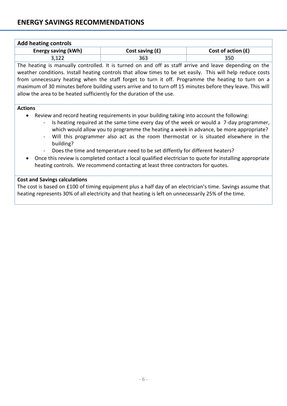| <b>Add heating controls</b>                                                                                                                                                                                                                                                                                                                                                                                                                                                                                                                                                                                                                                                                  |                                                                                                             |                      |  |  |
|----------------------------------------------------------------------------------------------------------------------------------------------------------------------------------------------------------------------------------------------------------------------------------------------------------------------------------------------------------------------------------------------------------------------------------------------------------------------------------------------------------------------------------------------------------------------------------------------------------------------------------------------------------------------------------------------|-------------------------------------------------------------------------------------------------------------|----------------------|--|--|
| <b>Energy saving (kWh)</b>                                                                                                                                                                                                                                                                                                                                                                                                                                                                                                                                                                                                                                                                   | Cost saving $(f)$                                                                                           | Cost of action $(f)$ |  |  |
| 3,122                                                                                                                                                                                                                                                                                                                                                                                                                                                                                                                                                                                                                                                                                        | 363                                                                                                         | 350                  |  |  |
|                                                                                                                                                                                                                                                                                                                                                                                                                                                                                                                                                                                                                                                                                              | The heating is manually controlled. It is turned on and off as staff arrive and leave depending on the      |                      |  |  |
|                                                                                                                                                                                                                                                                                                                                                                                                                                                                                                                                                                                                                                                                                              | weather conditions. Install heating controls that allow times to be set easily. This will help reduce costs |                      |  |  |
|                                                                                                                                                                                                                                                                                                                                                                                                                                                                                                                                                                                                                                                                                              | from unnecessary heating when the staff forget to turn it off. Programme the heating to turn on a           |                      |  |  |
|                                                                                                                                                                                                                                                                                                                                                                                                                                                                                                                                                                                                                                                                                              | maximum of 30 minutes before building users arrive and to turn off 15 minutes before they leave. This will  |                      |  |  |
| allow the area to be heated sufficiently for the duration of the use.                                                                                                                                                                                                                                                                                                                                                                                                                                                                                                                                                                                                                        |                                                                                                             |                      |  |  |
|                                                                                                                                                                                                                                                                                                                                                                                                                                                                                                                                                                                                                                                                                              |                                                                                                             |                      |  |  |
| <b>Actions</b>                                                                                                                                                                                                                                                                                                                                                                                                                                                                                                                                                                                                                                                                               |                                                                                                             |                      |  |  |
| Review and record heating requirements in your building taking into account the following:<br>Is heating required at the same time every day of the week or would a 7-day programmer,<br>$\overline{a}$<br>which would allow you to programme the heating a week in advance, be more appropriate?<br>Will this programmer also act as the room thermostat or is situated elsewhere in the<br>building?<br>Does the time and temperature need to be set diffently for different heaters?<br>÷,<br>Once this review is completed contact a local qualified electrician to quote for installing appropriate<br>heating controls. We recommend contacting at least three contractors for quotes. |                                                                                                             |                      |  |  |
| <b>Cost and Savings calculations</b>                                                                                                                                                                                                                                                                                                                                                                                                                                                                                                                                                                                                                                                         |                                                                                                             |                      |  |  |
| The cost is based on £100 of timing equipment plus a half day of an electrician's time. Savings assume that<br>heating represents 30% of all electricity and that heating is left on unnecessarily 25% of the time.                                                                                                                                                                                                                                                                                                                                                                                                                                                                          |                                                                                                             |                      |  |  |
|                                                                                                                                                                                                                                                                                                                                                                                                                                                                                                                                                                                                                                                                                              |                                                                                                             |                      |  |  |
|                                                                                                                                                                                                                                                                                                                                                                                                                                                                                                                                                                                                                                                                                              |                                                                                                             |                      |  |  |
|                                                                                                                                                                                                                                                                                                                                                                                                                                                                                                                                                                                                                                                                                              |                                                                                                             |                      |  |  |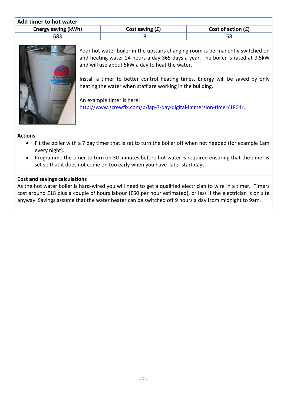| Add timer to hot water |                   |                      |  |  |
|------------------------|-------------------|----------------------|--|--|
| Energy saving (kWh)    | Cost saving $(f)$ | Cost of action $(f)$ |  |  |
| 683                    |                   | 68                   |  |  |



Your hot water boiler in the upstairs changing room is permanently switched on and heating water 24 hours a day 365 days a year. The boiler is rated at 9.5kW and will use about 5kW a day to heat the water.

Install a timer to better control heating times. Energy will be saved by only heating the water when staff are working in the building.

An example timer is here: [http://www.screwfix.com/p/lap-7-day-digital-immersion-timer/1804r.](http://www.screwfix.com/p/lap-7-day-digital-immersion-timer/1804r)

## **Actions**

- Fit the boiler with a 7 day timer that is set to turn the boiler off when not needed (for example 1am every night).
- Programme the timer to turn on 30 minutes before hot water is required ensuring that the timer is set so that it does not come on too early when you have later start days.

## **Cost and savings calculations**

As the hot water boiler is hard-wired you will need to get a qualified electrician to wire in a timer. Timers cost around £18 plus a couple of hours labour (£50 per hour estimated), or less if the electrician is on site anyway. Savings assume that the water heater can be switched off 9 hours a day from midnight to 9am.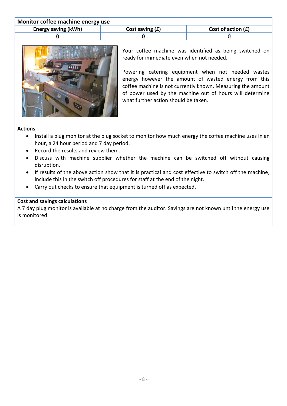| Monitor coffee machine energy use |                   |                      |  |  |
|-----------------------------------|-------------------|----------------------|--|--|
| <b>Energy saving (kWh)</b>        | Cost saving $(f)$ | Cost of action $(f)$ |  |  |
|                                   |                   |                      |  |  |



Your coffee machine was identified as being switched on ready for immediate even when not needed.

Powering catering equipment when not needed wastes energy however the amount of wasted energy from this coffee machine is not currently known. Measuring the amount of power used by the machine out of hours will determine what further action should be taken.

#### **Actions**

- Install a plug monitor at the plug socket to monitor how much energy the coffee machine uses in an hour, a 24 hour period and 7 day period.
- Record the results and review them.
- Discuss with machine supplier whether the machine can be switched off without causing disruption.
- If results of the above action show that it is practical and cost effective to switch off the machine, include this in the switch off procedures for staff at the end of the night.
- Carry out checks to ensure that equipment is turned off as expected.

#### **Cost and savings calculations**

A 7 day plug monitor is available at no charge from the auditor. Savings are not known until the energy use is monitored.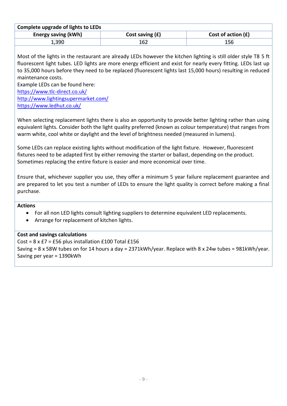| Complete upgrade of lights to LEDs |                   |                      |  |  |
|------------------------------------|-------------------|----------------------|--|--|
| <b>Energy saving (kWh)</b>         | Cost saving $(f)$ | Cost of action $(f)$ |  |  |
| 1,390                              | 162               | 156                  |  |  |

Most of the lights in the restaurant are already LEDs however the kitchen lighting is still older style T8 5 ft fluorescent light tubes. LED lights are more energy efficient and exist for nearly every fitting. LEDs last up to 35,000 hours before they need to be replaced (fluorescent lights last 15,000 hours) resulting in reduced maintenance costs.

Example LEDs can be found here: <https://www.tlc-direct.co.uk/> <http://www.lightingsupermarket.com/> <https://www.ledhut.co.uk/>

When selecting replacement lights there is also an opportunity to provide better lighting rather than using equivalent lights. Consider both the light quality preferred (known as colour temperature) that ranges from warm white, cool white or daylight and the level of brightness needed (measured in lumens).

Some LEDs can replace existing lights without modification of the light fixture. However, fluorescent fixtures need to be adapted first by either removing the starter or ballast, depending on the product. Sometimes replacing the entire fixture is easier and more economical over time.

Ensure that, whichever supplier you use, they offer a minimum 5 year failure replacement guarantee and are prepared to let you test a number of LEDs to ensure the light quality is correct before making a final purchase.

## **Actions**

- For all non LED lights consult lighting suppliers to determine equivalent LED replacements.
- Arrange for replacement of kitchen lights.

#### **Cost and savings calculations**

Cost =  $8 \times £7$  = £56 plus installation £100 Total £156 Saving = 8 x 58W tubes on for 14 hours a day = 2371kWh/year. Replace with 8 x 24w tubes = 981kWh/year. Saving per year = 1390kWh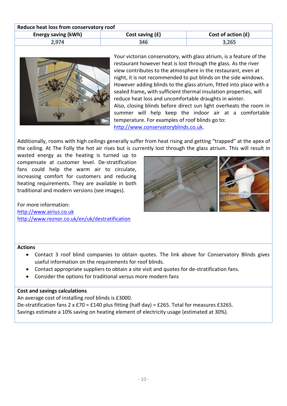| Reduce heat loss from conservatory roof |                 |                      |  |  |
|-----------------------------------------|-----------------|----------------------|--|--|
| <b>Energy saving (kWh)</b>              | Cost saving (£) | Cost of action $(f)$ |  |  |
| 2,974                                   | 346             | 3,265                |  |  |



Your victorian conservatory, with glass atrium, is a feature of the restaurant however heat is lost through the glass. As the river view contributes to the atmosphere in the restaurant, even at night, it is not recommended to put blinds on the side windows. However adding blinds to the glass atrium, fitted into place with a sealed frame**,** with sufficient thermal insulation properties, will reduce heat loss and uncomfortable draughts in winter. Also, closing blinds before direct sun light overheats the room in summer will help keep the indoor air at a comfortable temperature. For examples of roof blinds go to: [http://www.conservatoryblinds.co.uk.](http://www.conservatoryblinds.co.uk/)

Additionally, rooms with high ceilings generally suffer from heat rising and getting "trapped" at the apex of the ceiling. At The Folly the hot air rises but is currently lost through the glass atrium. This will result in

wasted energy as the heating is turned up to compensate at customer level. De-stratification fans could help the warm air to circulate, increasing comfort for customers and reducing heating requirements. They are available in both traditional and modern versions (see images).

For more information: [http://www.airius.co.uk](http://www.airius.co.uk/) <http://www.reznor.co.uk/en/uk/destratification>



#### **Actions**

- Contact 3 roof blind companies to obtain quotes. The link above for Conservatory Blinds gives useful information on the requirements for roof blinds.
- Contact appropriate suppliers to obtain a site visit and quotes for de-stratification fans.
- Consider the options for traditional versus more modern fans

#### **Cost and savings calculations**

An average cost of installing roof blinds is £3000.

De-stratification fans 2 x £70 = £140 plus fitting (half day) = £265. Total for measures £3265. Savings estimate a 10% saving on heating element of electricity usage (estimated at 30%).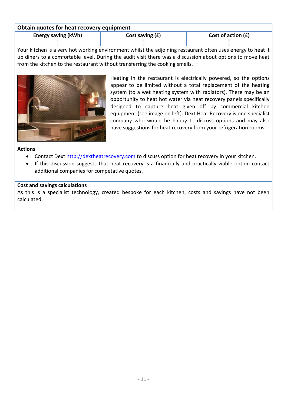| Obtain quotes for heat recovery equipment |                   |                      |  |  |
|-------------------------------------------|-------------------|----------------------|--|--|
| <b>Energy saving (kWh)</b>                | Cost saving $(f)$ | Cost of action $(f)$ |  |  |
|                                           |                   |                      |  |  |

Your kitchen is a very hot working environment whilst the adjoining restaurant often uses energy to heat it up diners to a comfortable level. During the audit visit there was a discussion about options to move heat from the kitchen to the restaurant without transferring the cooking smells.



Heating in the restaurant is electrically powered, so the options appear to be limited without a total replacement of the heating system (to a wet heating system with radiators). There may be an opportunity to heat hot water via heat recovery panels specifically designed to capture heat given off by commercial kitchen equipment (see image on left). Dext Heat Recovery is one specialist company who would be happy to discuss options and may also have suggestions for heat recovery from your refrigeration rooms.

#### **Actions**

- Contact Dext [http://dextheatrecovery.com](http://dextheatrecovery.com/) to discuss option for heat recovery in your kitchen.
- If this discussion suggests that heat recovery is a financially and practically viable option contact additional companies for competative quotes.

#### **Cost and savings calculations**

As this is a specialist technology, created bespoke for each kitchen, costs and savings have not been calculated.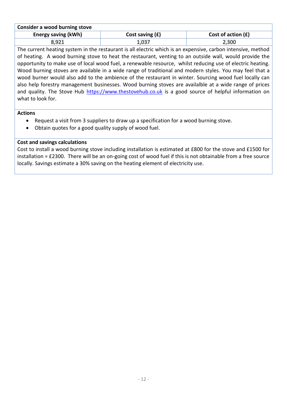| Consider a wood burning stove |                   |                      |
|-------------------------------|-------------------|----------------------|
| Energy saving (kWh)           | Cost saving $(f)$ | Cost of action $(f)$ |
| 8,921                         | 1,037             | 2,300                |

The current heating system in the restaurant is all electric which is an expensive, carbon intensive, method of heating. A wood burning stove to heat the restaurant, venting to an outside wall, would provide the opportunity to make use of local wood fuel, a renewable resource, whilst reducing use of electric heating. Wood burning stoves are available in a wide range of traditional and modern styles. You may feel that a wood burner would also add to the ambience of the restaurant in winter. Sourcing wood fuel locally can also help forestry management businesses. Wood burning stoves are availalble at a wide range of prices and quality. The Stove Hub [https://www.thestovehub.co.uk](https://www.thestovehub.co.uk/) is a good source of helpful information on what to look for.

## **Actions**

- Request a visit from 3 suppliers to draw up a specification for a wood burning stove.
- Obtain quotes for a good quality supply of wood fuel.

# **Cost and savings calculations**

Cost to install a wood burning stove including installation is estimated at £800 for the stove and £1500 for installation = £2300. There will be an on-going cost of wood fuel if this is not obtainable from a free source locally. Savings estimate a 30% saving on the heating element of electricity use.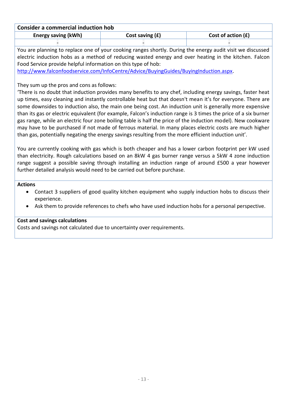| Consider a commercial induction hob                              |  |  |                                                                                                            |  |  |
|------------------------------------------------------------------|--|--|------------------------------------------------------------------------------------------------------------|--|--|
| Cost of action $(E)$<br>Energy saving (kWh)<br>Cost saving $(f)$ |  |  |                                                                                                            |  |  |
|                                                                  |  |  |                                                                                                            |  |  |
|                                                                  |  |  | You are planning to replace one of your cooking ranges shortly. During the energy audit visit we discussed |  |  |

You are planning to replace one of your cooking ranges shortly. During the energy audit visit we discussed electric induction hobs as a method of reducing wasted energy and over heating in the kitchen. Falcon Food Service provide helpful information on this type of hob:

[http://www.falconfoodservice.com/InfoCentre/Advice/BuyingGuides/BuyingInduction.aspx.](http://www.falconfoodservice.com/InfoCentre/Advice/BuyingGuides/BuyingInduction.aspx)

They sum up the pros and cons as follows:

'There is no doubt that induction provides many benefits to any chef, including energy savings, faster heat up times, easy cleaning and instantly controllable heat but that doesn't mean it's for everyone. There are some downsides to induction also, the main one being cost. An induction unit is generally more expensive than its gas or electric equivalent (for example, Falcon's induction range is 3 times the price of a six burner gas range, while an electric four zone boiling table is half the price of the induction model). New cookware may have to be purchased if not made of ferrous material. In many places electric costs are much higher than gas, potentially negating the energy savings resulting from the more efficient induction unit'.

You are currently cooking with gas which is both cheaper and has a lower carbon footprint per kW used than electricity. Rough calculations based on an 8kW 4 gas burner range versus a 5kW 4 zone induction range suggest a possible saving through installing an induction range of around £500 a year however further detailed analysis would need to be carried out before purchase.

#### **Actions**

- Contact 3 suppliers of good quality kitchen equipment who supply induction hobs to discuss their experience.
- Ask them to provide references to chefs who have used induction hobs for a personal perspective.

# **Cost and savings calculations**

Costs and savings not calculated due to uncertainty over requirements.